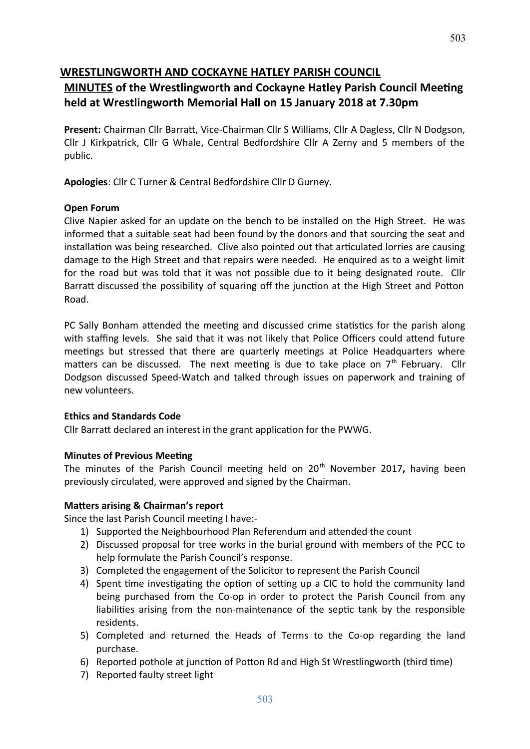# **WRESTLINGWORTH AND COCKAYNE HATLEY PARISH COUNCIL**

# **MINUTES of the Wrestlingworth and Cockayne Hatley Parish Council Meetng held at Wrestlingworth Memorial Hall on 15 January 2018 at 7.30pm**

**Present:** Chairman Cllr Barratt, Vice-Chairman Cllr S Williams, Cllr A Dagless, Cllr N Dodgson, Cllr J Kirkpatrick, Cllr G Whale, Central Bedfordshire Cllr A Zerny and 5 members of the public.

**Apologies**: Cllr C Turner & Central Bedfordshire Cllr D Gurney.

# **Open Forum**

Clive Napier asked for an update on the bench to be installed on the High Street. He was informed that a suitable seat had been found by the donors and that sourcing the seat and installation was being researched. Clive also pointed out that articulated lorries are causing damage to the High Street and that repairs were needed. He enquired as to a weight limit for the road but was told that it was not possible due to it being designated route. Cllr Barratt discussed the possibility of squaring off the junction at the High Street and Potton Road.

PC Sally Bonham attended the meeting and discussed crime statistics for the parish along with staffing levels. She said that it was not likely that Police Officers could attend future meetings but stressed that there are quarterly meetings at Police Headquarters where matters can be discussed. The next meeting is due to take place on  $7<sup>th</sup>$  February. Cllr Dodgson discussed Speed-Watch and talked through issues on paperwork and training of new volunteers.

# **Ethics and Standards Code**

Cllr Barratt declared an interest in the grant application for the PWWG.

# **Minutes of Previous Meeting**

The minutes of the Parish Council meeting held on 20<sup>th</sup> November 2017, having been previously circulated, were approved and signed by the Chairman.

# **Matters arising & Chairman's report**

Since the last Parish Council meeting I have:-

- 1) Supported the Neighbourhood Plan Referendum and atended the count
- 2) Discussed proposal for tree works in the burial ground with members of the PCC to help formulate the Parish Council's response.
- 3) Completed the engagement of the Solicitor to represent the Parish Council
- 4) Spent time investigating the option of setting up a CIC to hold the community land being purchased from the Co-op in order to protect the Parish Council from any liabilities arising from the non-maintenance of the septic tank by the responsible residents.
- 5) Completed and returned the Heads of Terms to the Co-op regarding the land purchase.
- 6) Reported pothole at junction of Potton Rd and High St Wrestlingworth (third time)
- 7) Reported faulty street light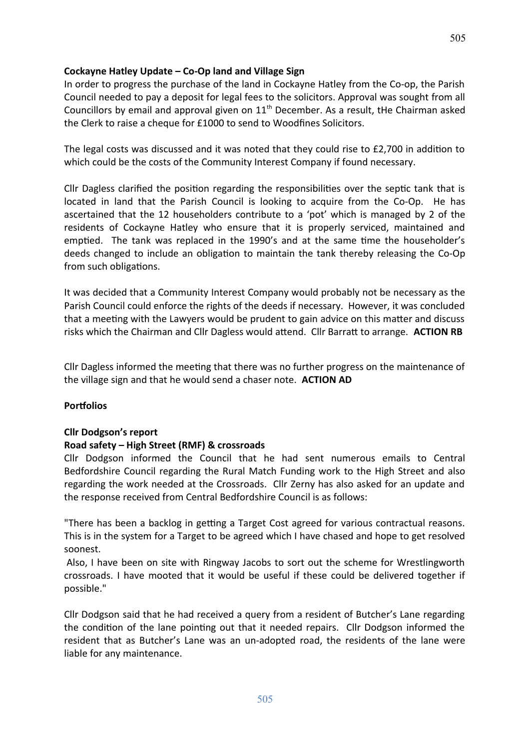# **Cockayne Hatley Update – Co-Op land and Village Sign**

In order to progress the purchase of the land in Cockayne Hatley from the Co-op, the Parish Council needed to pay a deposit for legal fees to the solicitors. Approval was sought from all Councillors by email and approval given on  $11<sup>th</sup>$  December. As a result, tHe Chairman asked the Clerk to raise a cheque for £1000 to send to Woodfnes Solicitors.

The legal costs was discussed and it was noted that they could rise to  $£2,700$  in addition to which could be the costs of the Community Interest Company if found necessary.

Cllr Dagless clarifed the positon regarding the responsibilites over the septc tank that is located in land that the Parish Council is looking to acquire from the Co-Op. He has ascertained that the 12 householders contribute to a 'pot' which is managed by 2 of the residents of Cockayne Hatley who ensure that it is properly serviced, maintained and emptied. The tank was replaced in the 1990's and at the same time the householder's deeds changed to include an obligation to maintain the tank thereby releasing the Co-Op from such obligations.

It was decided that a Community Interest Company would probably not be necessary as the Parish Council could enforce the rights of the deeds if necessary. However, it was concluded that a meetng with the Lawyers would be prudent to gain advice on this mater and discuss risks which the Chairman and Cllr Dagless would atend. Cllr Barrat to arrange. **ACTION RB**

Cllr Dagless informed the meetng that there was no further progress on the maintenance of the village sign and that he would send a chaser note. **ACTION AD**

# **Portfolios**

# **Cllr Dodgson's report**

# **Road safety – High Street (RMF) & crossroads**

Cllr Dodgson informed the Council that he had sent numerous emails to Central Bedfordshire Council regarding the Rural Match Funding work to the High Street and also regarding the work needed at the Crossroads. Cllr Zerny has also asked for an update and the response received from Central Bedfordshire Council is as follows:

"There has been a backlog in getting a Target Cost agreed for various contractual reasons. This is in the system for a Target to be agreed which I have chased and hope to get resolved soonest.

Also, I have been on site with Ringway Jacobs to sort out the scheme for Wrestlingworth crossroads. I have mooted that it would be useful if these could be delivered together if possible."

Cllr Dodgson said that he had received a query from a resident of Butcher's Lane regarding the condition of the lane pointing out that it needed repairs. Cllr Dodgson informed the resident that as Butcher's Lane was an un-adopted road, the residents of the lane were liable for any maintenance.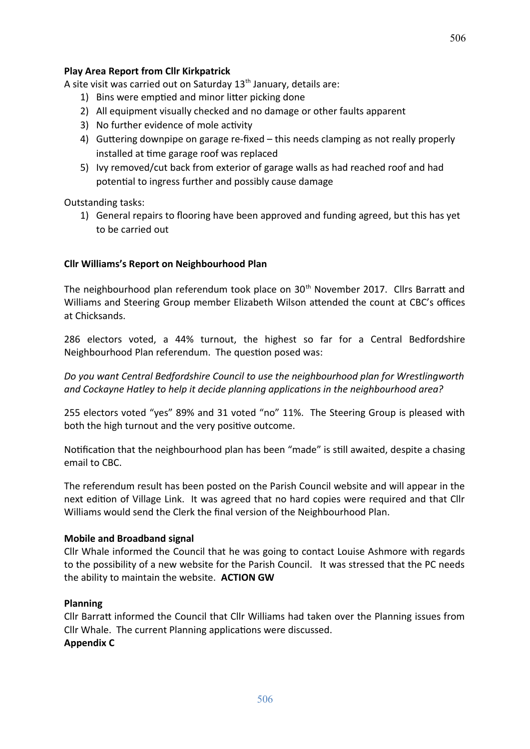## **Play Area Report from Cllr Kirkpatrick**

A site visit was carried out on Saturday  $13<sup>th</sup>$  January, details are:

- 1) Bins were emptied and minor litter picking done
- 2) All equipment visually checked and no damage or other faults apparent
- 3) No further evidence of mole activity
- 4) Guttering downpipe on garage re-fixed this needs clamping as not really properly installed at tme garage roof was replaced
- 5) Ivy removed/cut back from exterior of garage walls as had reached roof and had potental to ingress further and possibly cause damage

Outstanding tasks:

1) General repairs to flooring have been approved and funding agreed, but this has yet to be carried out

#### **Cllr Williams's Report on Neighbourhood Plan**

The neighbourhood plan referendum took place on 30<sup>th</sup> November 2017. Cllrs Barratt and Williams and Steering Group member Elizabeth Wilson attended the count at CBC's offices at Chicksands.

286 electors voted, a 44% turnout, the highest so far for a Central Bedfordshire Neighbourhood Plan referendum. The question posed was:

*Do you want Central Bedfordshire Council to use the neighbourhood plan for Wrestlingworth and Cockayne Hatley to help it decide planning applicatons in the neighbourhood area?*

255 electors voted "yes" 89% and 31 voted "no" 11%. The Steering Group is pleased with both the high turnout and the very positve outcome.

Notification that the neighbourhood plan has been "made" is still awaited, despite a chasing email to CBC.

The referendum result has been posted on the Parish Council website and will appear in the next edition of Village Link. It was agreed that no hard copies were required and that Cllr Williams would send the Clerk the fnal version of the Neighbourhood Plan.

#### **Mobile and Broadband signal**

Cllr Whale informed the Council that he was going to contact Louise Ashmore with regards to the possibility of a new website for the Parish Council. It was stressed that the PC needs the ability to maintain the website. **ACTION GW**

#### **Planning**

Cllr Barratt informed the Council that Cllr Williams had taken over the Planning issues from Cllr Whale. The current Planning applications were discussed.

# **Appendix C**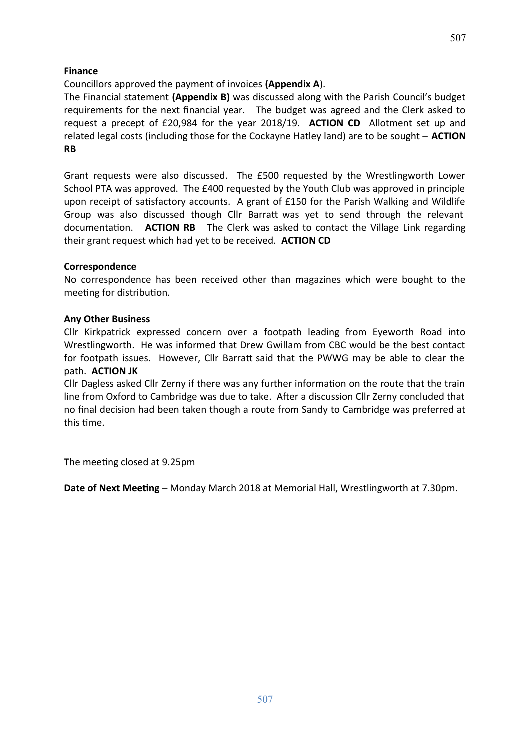# **Finance**

# Councillors approved the payment of invoices **(Appendix A**).

The Financial statement **(Appendix B)** was discussed along with the Parish Council's budget requirements for the next financial year. The budget was agreed and the Clerk asked to request a precept of £20,984 for the year 2018/19. **ACTION CD** Allotment set up and related legal costs (including those for the Cockayne Hatley land) are to be sought – **ACTION RB**

Grant requests were also discussed. The £500 requested by the Wrestlingworth Lower School PTA was approved. The £400 requested by the Youth Club was approved in principle upon receipt of satisfactory accounts. A grant of  $E150$  for the Parish Walking and Wildlife Group was also discussed though Cllr Barratt was yet to send through the relevant documentaton. **ACTION RB** The Clerk was asked to contact the Village Link regarding their grant request which had yet to be received. **ACTION CD**

# **Correspondence**

No correspondence has been received other than magazines which were bought to the meeting for distribution.

# **Any Other Business**

Cllr Kirkpatrick expressed concern over a footpath leading from Eyeworth Road into Wrestlingworth. He was informed that Drew Gwillam from CBC would be the best contact for footpath issues. However, Cllr Barratt said that the PWWG may be able to clear the path. **ACTION JK**

Cllr Dagless asked Cllr Zerny if there was any further information on the route that the train line from Oxford to Cambridge was due to take. After a discussion Cllr Zerny concluded that no fnal decision had been taken though a route from Sandy to Cambridge was preferred at this time.

The meeting closed at 9.25pm

**Date of Next Meeting** – Monday March 2018 at Memorial Hall, Wrestlingworth at 7.30pm.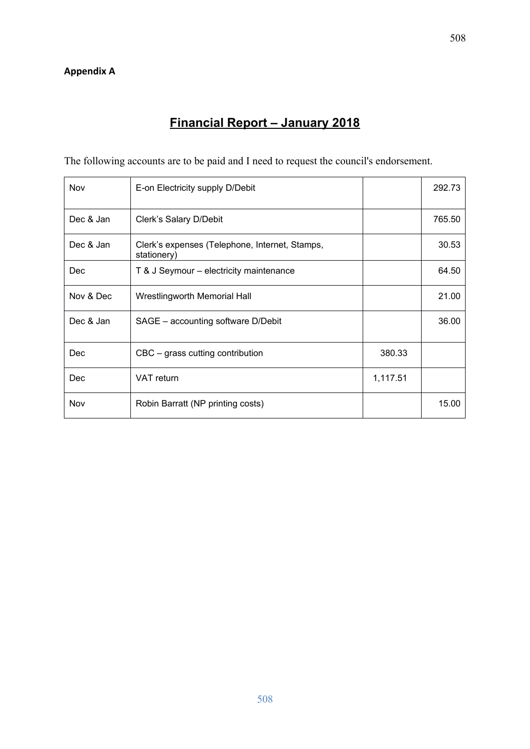# **Financial Report – January 2018**

The following accounts are to be paid and I need to request the council's endorsement.

| Nov       | E-on Electricity supply D/Debit                               |          | 292.73 |
|-----------|---------------------------------------------------------------|----------|--------|
| Dec & Jan | Clerk's Salary D/Debit                                        |          | 765.50 |
| Dec & Jan | Clerk's expenses (Telephone, Internet, Stamps,<br>stationery) |          | 30.53  |
| Dec       | T & J Seymour – electricity maintenance                       |          | 64.50  |
| Nov & Dec | Wrestlingworth Memorial Hall                                  |          | 21.00  |
| Dec & Jan | SAGE - accounting software D/Debit                            |          | 36.00  |
| Dec       | CBC – grass cutting contribution                              | 380.33   |        |
| Dec       | VAT return                                                    | 1,117.51 |        |
| Nov       | Robin Barratt (NP printing costs)                             |          | 15.00  |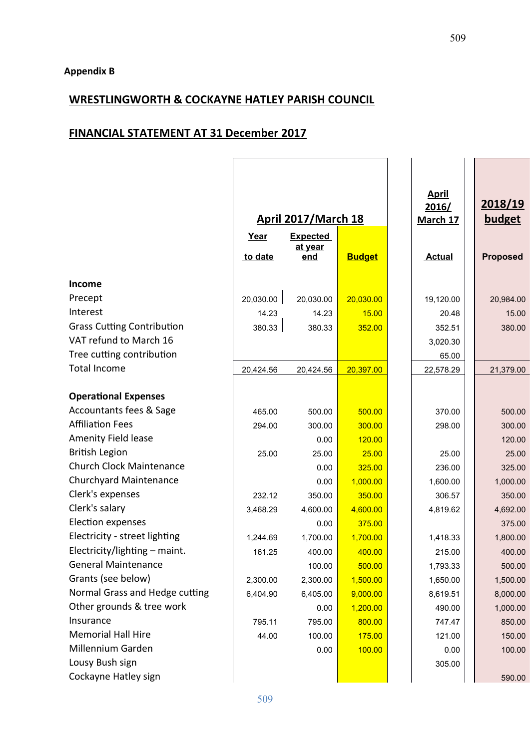# **WRESTLINGWORTH & COCKAYNE HATLEY PARISH COUNCIL**

# **FINANCIAL STATEMENT AT 31 December 2017**

|                                   | <b>April 2017/March 18</b> |                                   |               | <b>April</b><br>2016/<br>March 17 | 2018/19<br>budget |
|-----------------------------------|----------------------------|-----------------------------------|---------------|-----------------------------------|-------------------|
|                                   | Year<br>to date            | <b>Expected</b><br>at year<br>end | <b>Budget</b> | <b>Actual</b>                     | <b>Proposed</b>   |
| Income                            |                            |                                   |               |                                   |                   |
| Precept                           | 20,030.00                  | 20,030.00                         | 20,030.00     | 19,120.00                         | 20,984.00         |
| Interest                          | 14.23                      | 14.23                             | 15.00         | 20.48                             | 15.00             |
| <b>Grass Cutting Contribution</b> | 380.33                     | 380.33                            | 352.00        | 352.51                            | 380.00            |
| VAT refund to March 16            |                            |                                   |               | 3,020.30                          |                   |
| Tree cutting contribution         |                            |                                   |               | 65.00                             |                   |
| <b>Total Income</b>               | 20,424.56                  | 20,424.56                         | 20,397.00     | 22,578.29                         | 21,379.00         |
|                                   |                            |                                   |               |                                   |                   |
| <b>Operational Expenses</b>       |                            |                                   |               |                                   |                   |
| Accountants fees & Sage           | 465.00                     | 500.00                            | 500.00        | 370.00                            | 500.00            |
| <b>Affiliation Fees</b>           | 294.00                     | 300.00                            | 300.00        | 298.00                            | 300.00            |
| Amenity Field lease               |                            | 0.00                              | 120.00        |                                   | 120.00            |
| <b>British Legion</b>             | 25.00                      | 25.00                             | 25.00         | 25.00                             | 25.00             |
| <b>Church Clock Maintenance</b>   |                            | 0.00                              | 325.00        | 236.00                            | 325.00            |
| <b>Churchyard Maintenance</b>     |                            | 0.00                              | 1,000.00      | 1,600.00                          | 1,000.00          |
| Clerk's expenses                  | 232.12                     | 350.00                            | 350.00        | 306.57                            | 350.00            |
| Clerk's salary                    | 3,468.29                   | 4,600.00                          | 4,600.00      | 4,819.62                          | 4,692.00          |
| Election expenses                 |                            | 0.00                              | 375.00        |                                   | 375.00            |
| Electricity - street lighting     | 1,244.69                   | 1,700.00                          | 1,700.00      | 1,418.33                          | 1,800.00          |
| Electricity/lighting - maint.     | 161.25                     | 400.00                            | 400.00        | 215.00                            | 400.00            |
| <b>General Maintenance</b>        |                            | 100.00                            | 500.00        | 1,793.33                          | 500.00            |
| Grants (see below)                | 2,300.00                   | 2,300.00                          | 1,500.00      | 1,650.00                          | 1,500.00          |
| Normal Grass and Hedge cutting    | 6,404.90                   | 6,405.00                          | 9,000.00      | 8,619.51                          | 8,000.00          |
| Other grounds & tree work         |                            | 0.00                              | 1,200.00      | 490.00                            | 1,000.00          |
| Insurance                         | 795.11                     | 795.00                            | 800.00        | 747.47                            | 850.00            |
| <b>Memorial Hall Hire</b>         | 44.00                      | 100.00                            | 175.00        | 121.00                            | 150.00            |
| Millennium Garden                 |                            | 0.00                              | 100.00        | 0.00                              | 100.00            |
| Lousy Bush sign                   |                            |                                   |               | 305.00                            |                   |
| Cockayne Hatley sign              |                            |                                   |               |                                   | 590.00            |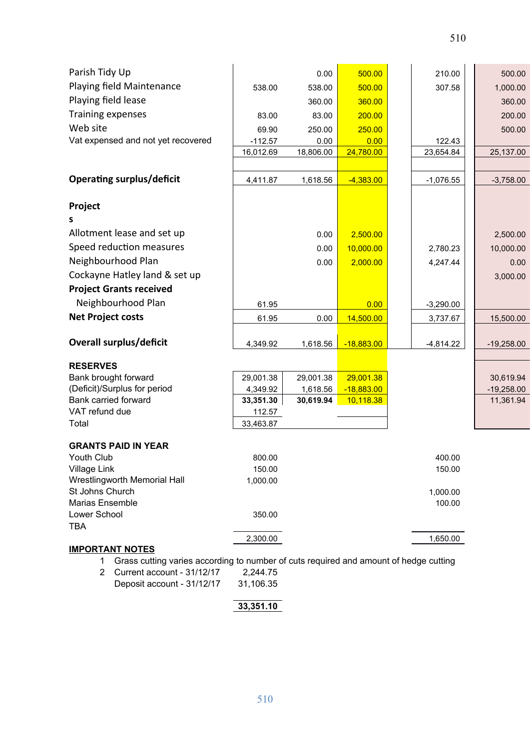| Parish Tidy Up                          |                  | 0.00      | 500.00       |  | 210.00           | 500.00       |
|-----------------------------------------|------------------|-----------|--------------|--|------------------|--------------|
| Playing field Maintenance               | 538.00<br>538.00 |           | 500.00       |  | 307.58           | 1,000.00     |
| Playing field lease                     |                  | 360.00    | 360.00       |  |                  | 360.00       |
| Training expenses                       | 83.00            | 83.00     | 200.00       |  |                  | 200.00       |
| Web site                                | 69.90            | 250.00    | 250.00       |  |                  | 500.00       |
| Vat expensed and not yet recovered      | $-112.57$        | 0.00      | 0.00         |  | 122.43           |              |
|                                         | 16,012.69        | 18,806.00 | 24,780.00    |  | 23,654.84        | 25,137.00    |
|                                         |                  |           |              |  |                  |              |
| <b>Operating surplus/deficit</b>        | 4,411.87         | 1,618.56  | $-4,383.00$  |  | $-1,076.55$      | $-3,758.00$  |
| Project                                 |                  |           |              |  |                  |              |
| s                                       |                  |           |              |  |                  |              |
| Allotment lease and set up              |                  | 0.00      | 2,500.00     |  |                  | 2,500.00     |
| Speed reduction measures                |                  | 0.00      | 10,000.00    |  | 2,780.23         | 10,000.00    |
| Neighbourhood Plan                      |                  | 0.00      | 2,000.00     |  | 4,247.44         | 0.00         |
| Cockayne Hatley land & set up           |                  |           |              |  |                  | 3,000.00     |
| <b>Project Grants received</b>          |                  |           |              |  |                  |              |
| Neighbourhood Plan                      | 61.95            |           | 0.00         |  | $-3,290.00$      |              |
| <b>Net Project costs</b>                | 61.95            | 0.00      | 14,500.00    |  | 3,737.67         | 15,500.00    |
|                                         |                  |           |              |  |                  |              |
| <b>Overall surplus/deficit</b>          | 4,349.92         | 1,618.56  | $-18,883.00$ |  | $-4,814.22$      | $-19,258.00$ |
|                                         |                  |           |              |  |                  |              |
| <b>RESERVES</b><br>Bank brought forward | 29,001.38        | 29,001.38 | 29,001.38    |  |                  | 30,619.94    |
| (Deficit)/Surplus for period            | 4,349.92         | 1,618.56  | $-18,883.00$ |  |                  | $-19,258.00$ |
| <b>Bank carried forward</b>             | 33,351.30        | 30,619.94 | 10,118.38    |  |                  | 11,361.94    |
| VAT refund due                          | 112.57           |           |              |  |                  |              |
| Total                                   | 33,463.87        |           |              |  |                  |              |
|                                         |                  |           |              |  |                  |              |
| <b>GRANTS PAID IN YEAR</b>              |                  |           |              |  |                  |              |
| Youth Club<br>Village Link              | 800.00<br>150.00 |           |              |  | 400.00<br>150.00 |              |
| Wrestlingworth Memorial Hall            | 1,000.00         |           |              |  |                  |              |
| St Johns Church                         |                  |           |              |  | 1,000.00         |              |
| <b>Marias Ensemble</b>                  |                  |           |              |  | 100.00           |              |
| Lower School                            | 350.00           |           |              |  |                  |              |
| <b>TBA</b>                              |                  |           |              |  |                  |              |
|                                         | 2,300.00         |           |              |  | 1,650.00         |              |
| <b>IMPORTANT NOTES</b>                  |                  |           |              |  |                  |              |

- 1 Grass cutting varies according to number of cuts required and amount of hedge cutting
- 2 Current account 31/12/17 2,244.75<br>Deposit account 31/12/17 31,106.35 Deposit account - 31/12/17

# **33,351.10**